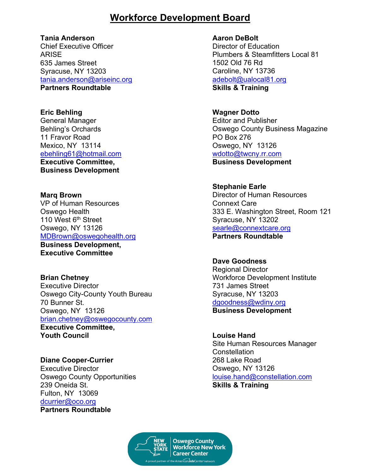## **Workforce Development Board**

**Tania Anderson**

Chief Executive Officer ARISE 635 James Street Syracuse, NY 13203 [tania.anderson@ariseinc.org](mailto:tania.anderson@ariseinc.org) **Partners Roundtable**

**Eric Behling** General Manager Behling's Orchards 11 Fravor Road Mexico, NY 13114 [ebehling61@hotmail.com](mailto:ebehling61@hotmail.com) **Executive Committee, Business Development**

**Marq Brown** VP of Human Resources Oswego Health 110 West 6<sup>th</sup> Street Oswego, NY 13126 [MDBrown@oswegohealth.org](mailto:MDBrown@oswegohealth.org) **Business Development, Executive Committee** 

**Brian Chetney** Executive Director Oswego City-County Youth Bureau 70 Bunner St. Oswego, NY 13126 [brian.chetney@oswegocounty.com](mailto:brian@oswegocounty.com) **Executive Committee, Youth Council** 

**Diane Cooper-Currier** Executive Director Oswego County Opportunities 239 Oneida St. Fulton, NY 13069 [dcurrier@oco.org](mailto:dcurrier@oco.org) **Partners Roundtable** 

**Aaron DeBolt** 

Director of Education Plumbers & Steamfitters Local 81 1502 Old 76 Rd Caroline, NY 13736 [adebolt@ualocal81.org](mailto:adebolt@ualocal81.org) **Skills & Training** 

**Wagner Dotto** Editor and Publisher Oswego County Business Magazine PO Box 276 Oswego, NY 13126 [wdotto@twcny.rr.com](mailto:wdotto@twcny.rr.com) **Business Development** 

**Stephanie Earle**  Director of Human Resources Connext Care 333 E. Washington Street, Room 121 Syracuse, NY 13202 [searle@connextcare.org](mailto:searle@connextcare.org) **Partners Roundtable**

**Dave Goodness** Regional Director Workforce Development Institute 731 James Street Syracuse, NY 13203 [dgoodness@wdiny.org](mailto:dgoodness@wdiny.org) **Business Development** 

**Louise Hand** Site Human Resources Manager **Constellation** 268 Lake Road Oswego, NY 13126 [louise.hand@constellation.com](mailto:louise.hand@constellation.com) **Skills & Training** 

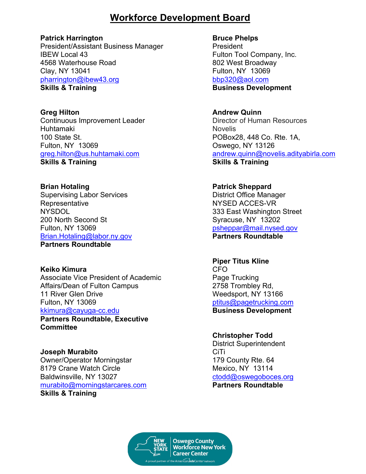# **Workforce Development Board**

### **Patrick Harrington**

President/Assistant Business Manager IBEW Local 43 4568 Waterhouse Road Clay, NY 13041 [pharrington@ibew43.org](mailto:pharrington@ibew43.org) **Skills & Training** 

**Greg Hilton** Continuous Improvement Leader Huhtamaki 100 State St. Fulton, NY 13069 [greg.hilton@us.huhtamaki.com](mailto:greg.hilton@us.huhtamaki.com) **Skills & Training** 

**Brian Hotaling** Supervising Labor Services **Representative** NYSDOL 200 North Second St Fulton, NY 13069 [Brian.Hotaling@labor.ny.gov](mailto:Brian.Hotaling@labor.ny.gov) **Partners Roundtable** 

**Keiko Kimura**  Associate Vice President of Academic Affairs/Dean of Fulton Campus 11 River Glen Drive Fulton, NY 13069 [kkimura@cayuga-cc.edu](mailto:kkimura@cayuga-cc.edu) **Partners Roundtable, Executive** 

**Committee**

**Joseph Murabito** Owner/Operator Morningstar 8179 Crane Watch Circle Baldwinsville, NY 13027 [murabito@morningstarcares.com](mailto:murabito@morningstarcares.com) **Skills & Training** 

**Bruce Phelps President** Fulton Tool Company, Inc. 802 West Broadway Fulton, NY 13069 [bbp320@aol.com](mailto:bbp320@aol.com) **Business Development** 

**Andrew Quinn** Director of Human Resources Novelis POBox28, 448 Co. Rte. 1A, Oswego, NY 13126 [andrew.quinn@novelis.adityabirla.com](mailto:andrew.quinn@novelis.adityabirla.com) **Skills & Training** 

**Patrick Sheppard** District Office Manager NYSED ACCES-VR 333 East Washington Street Syracuse, NY 13202 [psheppar@mail.nysed.gov](mailto:psheppar@mail.nysed.gov) **Partners Roundtable** 

**Piper Titus Kline** CFO Page Trucking 2758 Trombley Rd, Weedsport, NY 13166 [ptitus@pagetrucking.com](mailto:ptitus@pagetrucking.com) **Business Development**

**Christopher Todd** District Superintendent **CiTi** 179 County Rte. 64 Mexico, NY 13114 [ctodd@oswegoboces.org](mailto:ctodd@oswegoboces.org) **Partners Roundtable**